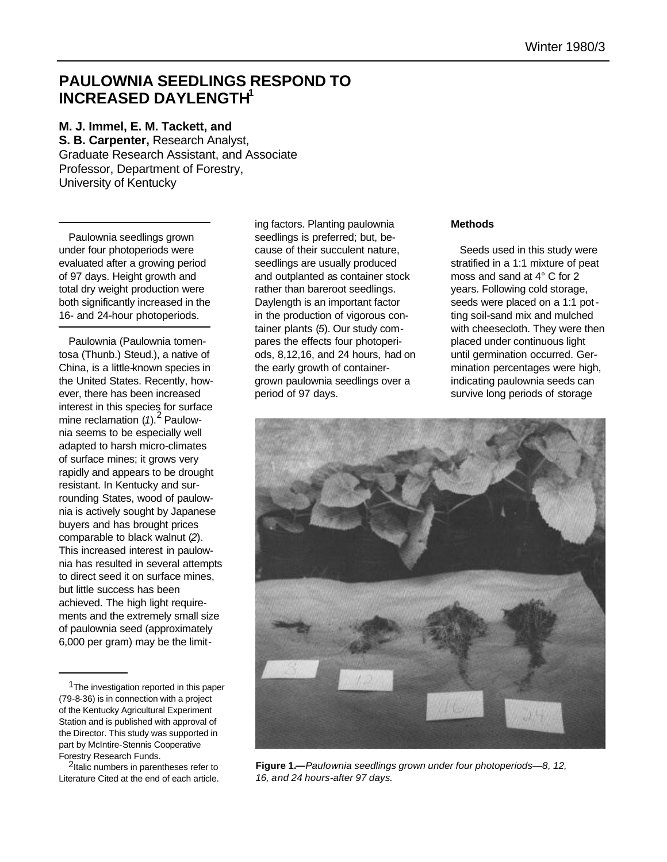# **PAULOWNIA SEEDLINGS RESPOND TO INCREASED DAYLENGTH<sup>1</sup>**

## **M. J. Immel, E. M. Tackett, and**

**S. B. Carpenter,** Research Analyst, Graduate Research Assistant, and Associate Professor, Department of Forestry, University of Kentucky

Paulownia seedlings grown under four photoperiods were evaluated after a growing period of 97 days. Height growth and total dry weight production were both significantly increased in the 16- and 24-hour photoperiods.

Paulownia (Paulownia tomentosa (Thunb.) Steud.), a native of China, is a little-known species in the United States. Recently, however, there has been increased interest in this species for surface mine reclamation (1).<sup>2</sup> Paulownia seems to be especially well adapted to harsh micro-climates of surface mines; it grows very rapidly and appears to be drought resistant. In Kentucky and surrounding States, wood of paulownia is actively sought by Japanese buyers and has brought prices comparable to black walnut (*2*). This increased interest in paulownia has resulted in several attempts to direct seed it on surface mines, but little success has been achieved. The high light requirements and the extremely small size of paulownia seed (approximately 6,000 per gram) may be the limit-

ing factors. Planting paulownia seedlings is preferred; but, because of their succulent nature, seedlings are usually produced and outplanted as container stock rather than bareroot seedlings. Daylength is an important factor in the production of vigorous container plants (*5*). Our study compares the effects four photoperiods, 8,12,16, and 24 hours, had on the early growth of containergrown paulownia seedlings over a period of 97 days.

### **Methods**

Seeds used in this study were stratified in a 1:1 mixture of peat moss and sand at 4° C for 2 years. Following cold storage, seeds were placed on a 1:1 potting soil-sand mix and mulched with cheesecloth. They were then placed under continuous light until germination occurred. Germination percentages were high, indicating paulownia seeds can survive long periods of storage



**Figure 1.—***Paulownia seedlings grown under four photoperiods—8, 12, 16, and 24 hours-after 97 days.*

<sup>&</sup>lt;sup>1</sup>The investigation reported in this paper (79-8-36) is in connection with a project of the Kentucky Agricultural Experiment Station and is published with approval of the Director. This study was supported in part by McIntire-Stennis Cooperative Forestry Research Funds.

<sup>&</sup>lt;sup>2</sup>Italic numbers in parentheses refer to Literature Cited at the end of each article.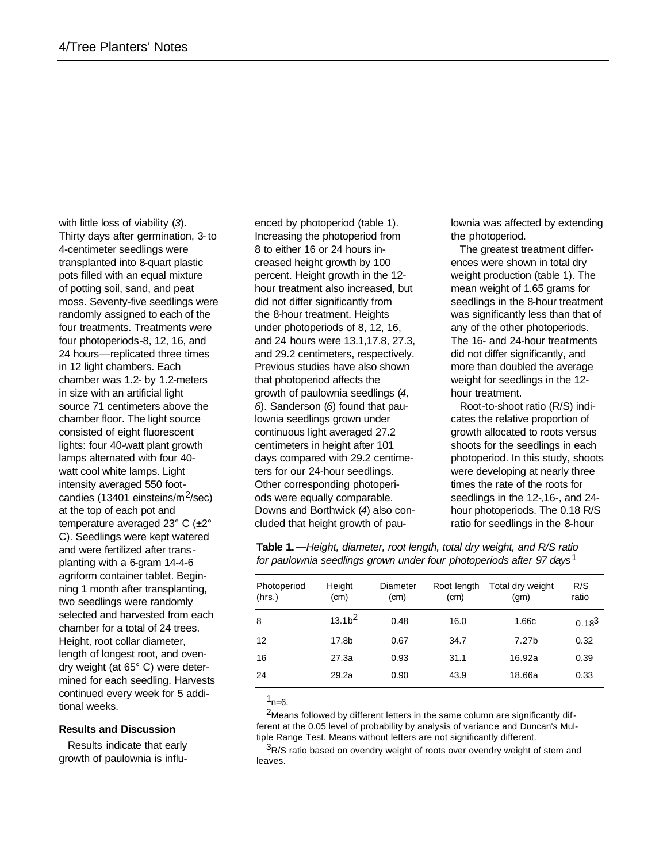with little loss of viability (*3*). Thirty days after germination, 3- to 4-centimeter seedlings were transplanted into 8-quart plastic pots filled with an equal mixture of potting soil, sand, and peat moss. Seventy-five seedlings were randomly assigned to each of the four treatments. Treatments were four photoperiods-8, 12, 16, and 24 hours—replicated three times in 12 light chambers. Each chamber was 1.2- by 1.2-meters in size with an artificial light source 71 centimeters above the chamber floor. The light source consisted of eight fluorescent lights: four 40-watt plant growth lamps alternated with four 40 watt cool white lamps. Light intensity averaged 550 footcandies (13401 einsteins/m2/sec) at the top of each pot and temperature averaged 23° C (±2° C). Seedlings were kept watered and were fertilized after trans planting with a 6-gram 14-4-6 agriform container tablet. Beginning 1 month after transplanting, two seedlings were randomly selected and harvested from each chamber for a total of 24 trees. Height, root collar diameter, length of longest root, and ovendry weight (at 65° C) were determined for each seedling. Harvests continued every week for 5 additional weeks.

#### **Results and Discussion**

Results indicate that early growth of paulownia is influ-

enced by photoperiod (table 1). Increasing the photoperiod from 8 to either 16 or 24 hours increased height growth by 100 percent. Height growth in the 12 hour treatment also increased, but did not differ significantly from the 8-hour treatment. Heights under photoperiods of 8, 12, 16, and 24 hours were 13.1,17.8, 27.3, and 29.2 centimeters, respectively. Previous studies have also shown that photoperiod affects the growth of paulownia seedlings (*4, 6*). Sanderson (*6*) found that paulownia seedlings grown under continuous light averaged 27.2 centimeters in height after 101 days compared with 29.2 centimeters for our 24-hour seedlings. Other corresponding photoperiods were equally comparable. Downs and Borthwick (*4*) also concluded that height growth of paulownia was affected by extending the photoperiod.

The greatest treatment differences were shown in total dry weight production (table 1). The mean weight of 1.65 grams for seedlings in the 8-hour treatment was significantly less than that of any of the other photoperiods. The 16- and 24-hour treatments did not differ significantly, and more than doubled the average weight for seedlings in the 12 hour treatment.

Root-to-shoot ratio (R/S) indicates the relative proportion of growth allocated to roots versus shoots for the seedlings in each photoperiod. In this study, shoots were developing at nearly three times the rate of the roots for seedlings in the 12-,16-, and 24 hour photoperiods. The 0.18 R/S ratio for seedlings in the 8-hour

**Table 1.—***Height, diameter, root length, total dry weight, and R/S ratio for paulownia seedlings grown under four photoperiods after 97 days*1

| Photoperiod<br>(hrs.) | Height<br>(cm)    | Diameter<br>(cm) | Root length<br>(cm) | Total dry weight<br>(gm) | R/S<br>ratio |
|-----------------------|-------------------|------------------|---------------------|--------------------------|--------------|
| 8                     | 13.1 <sup>2</sup> | 0.48             | 16.0                | 1.66c                    | $0.18^{3}$   |
| 12                    | 17.8b             | 0.67             | 34.7                | 7.27b                    | 0.32         |
| 16                    | 27.3a             | 0.93             | 31.1                | 16.92a                   | 0.39         |
| 24                    | 29.2a             | 0.90             | 43.9                | 18.66a                   | 0.33         |
|                       |                   |                  |                     |                          |              |

 $1_{n=6}$ .

<sup>2</sup>Means followed by different letters in the same column are significantly different at the 0.05 level of probability by analysis of variance and Duncan's Multiple Range Test. Means without letters are not significantly different.

 $3R/S$  ratio based on ovendry weight of roots over ovendry weight of stem and leaves.